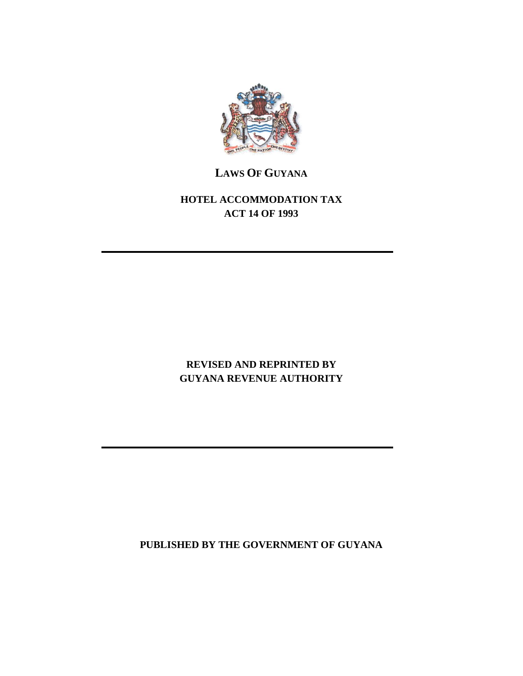

## **LAWS OF GUYANA**

## **HOTEL ACCOMMODATION TAX ACT 14 OF 1993**

## **REVISED AND REPRINTED BY GUYANA REVENUE AUTHORITY**

**PUBLISHED BY THE GOVERNMENT OF GUYANA**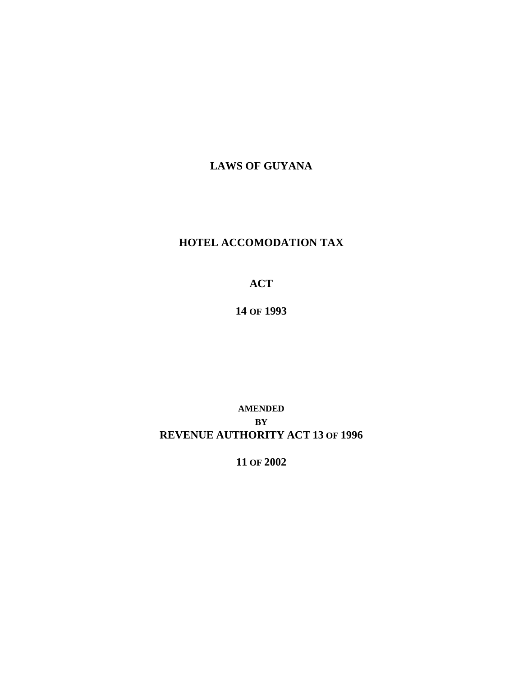**LAWS OF GUYANA**

## **HOTEL ACCOMODATION TAX**

**ACT**

**14 OF 1993**

**AMENDED BY REVENUE AUTHORITY ACT 13 OF 1996**

**11 OF 2002**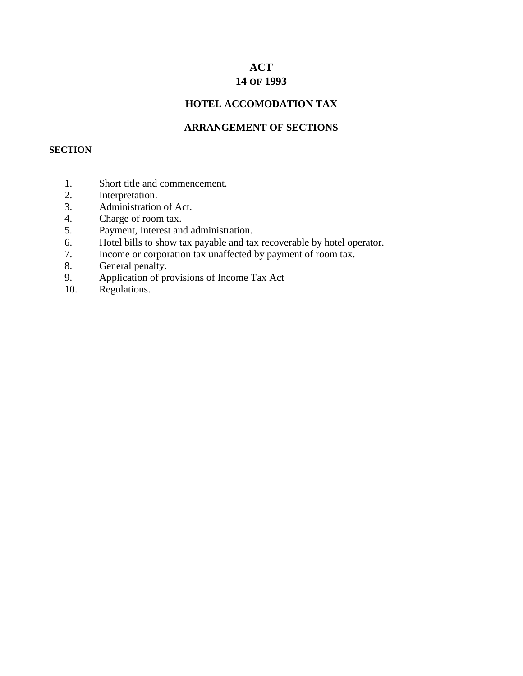# **ACT**

## **14 OF 1993**

### **HOTEL ACCOMODATION TAX**

#### **ARRANGEMENT OF SECTIONS**

#### **SECTION**

- 1. Short title and commencement.
- 2. Interpretation.
- 3. Administration of Act.
- 4. Charge of room tax.
- 5. Payment, Interest and administration.
- 6. Hotel bills to show tax payable and tax recoverable by hotel operator.
- 7. Income or corporation tax unaffected by payment of room tax.
- 8. General penalty.
- 9. Application of provisions of Income Tax Act
- 10. Regulations.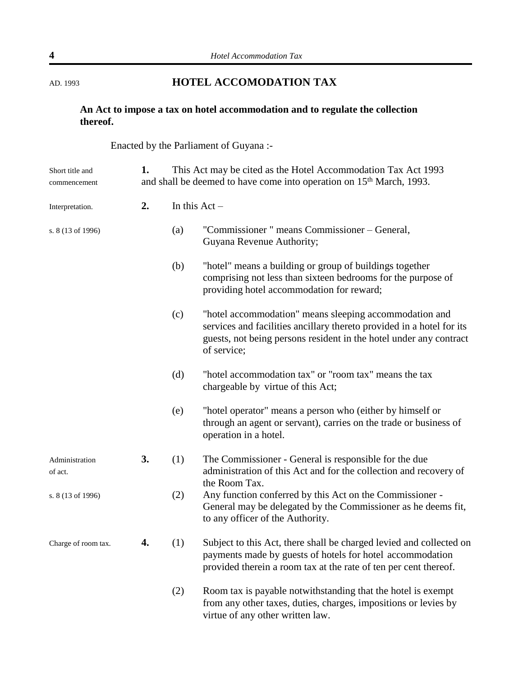## AD. 1993 **HOTEL ACCOMODATION TAX**

### **An Act to impose a tax on hotel accommodation and to regulate the collection thereof.**

Enacted by the Parliament of Guyana :-

| Short title and<br>commencement      | This Act may be cited as the Hotel Accommodation Tax Act 1993<br>1.<br>and shall be deemed to have come into operation on 15 <sup>th</sup> March, 1993. |                 |                                                                                                                                                                                                                      |  |
|--------------------------------------|---------------------------------------------------------------------------------------------------------------------------------------------------------|-----------------|----------------------------------------------------------------------------------------------------------------------------------------------------------------------------------------------------------------------|--|
| Interpretation.<br>s. 8 (13 of 1996) | 2.                                                                                                                                                      | In this $Act -$ |                                                                                                                                                                                                                      |  |
|                                      |                                                                                                                                                         | (a)             | "Commissioner " means Commissioner – General,<br>Guyana Revenue Authority;                                                                                                                                           |  |
|                                      |                                                                                                                                                         | (b)             | "hotel" means a building or group of buildings together<br>comprising not less than sixteen bedrooms for the purpose of<br>providing hotel accommodation for reward;                                                 |  |
|                                      |                                                                                                                                                         | (c)             | "hotel accommodation" means sleeping accommodation and<br>services and facilities ancillary thereto provided in a hotel for its<br>guests, not being persons resident in the hotel under any contract<br>of service; |  |
|                                      |                                                                                                                                                         | (d)             | "hotel accommodation tax" or "room tax" means the tax<br>chargeable by virtue of this Act;                                                                                                                           |  |
|                                      |                                                                                                                                                         | (e)             | "hotel operator" means a person who (either by himself or<br>through an agent or servant), carries on the trade or business of<br>operation in a hotel.                                                              |  |
| Administration<br>of act.            | 3.                                                                                                                                                      | (1)             | The Commissioner - General is responsible for the due<br>administration of this Act and for the collection and recovery of<br>the Room Tax.                                                                          |  |
| s. 8 (13 of 1996)                    |                                                                                                                                                         | (2)             | Any function conferred by this Act on the Commissioner -<br>General may be delegated by the Commissioner as he deems fit,<br>to any officer of the Authority.                                                        |  |
| Charge of room tax.                  | 4.                                                                                                                                                      | (1)             | Subject to this Act, there shall be charged levied and collected on<br>payments made by guests of hotels for hotel accommodation<br>provided therein a room tax at the rate of ten per cent thereof.                 |  |
|                                      |                                                                                                                                                         | (2)             | Room tax is payable notwithstanding that the hotel is exempt<br>from any other taxes, duties, charges, impositions or levies by<br>virtue of any other written law.                                                  |  |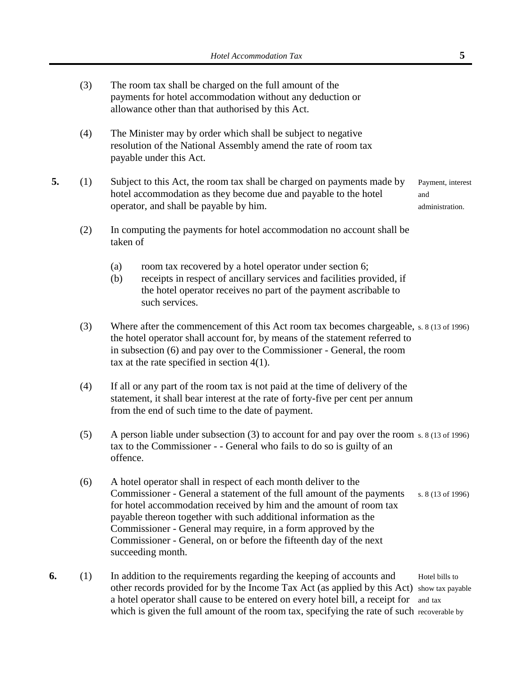(3) The room tax shall be charged on the full amount of the payments for hotel accommodation without any deduction or allowance other than that authorised by this Act. (4) The Minister may by order which shall be subject to negative resolution of the National Assembly amend the rate of room tax payable under this Act. **5.** (1) Subject to this Act, the room tax shall be charged on payments made by Payment, interest hotel accommodation as they become due and payable to the hotel and operator, and shall be payable by him.  $\blacksquare$ (2) In computing the payments for hotel accommodation no account shall be taken of (a) room tax recovered by a hotel operator under section 6; (b) receipts in respect of ancillary services and facilities provided, if the hotel operator receives no part of the payment ascribable to such services. (3) Where after the commencement of this Act room tax becomes chargeable, s. 8 (13 of 1996) the hotel operator shall account for, by means of the statement referred to in subsection (6) and pay over to the Commissioner - General, the room tax at the rate specified in section 4(1). (4) If all or any part of the room tax is not paid at the time of delivery of the statement, it shall bear interest at the rate of forty-five per cent per annum from the end of such time to the date of payment. (5) A person liable under subsection (3) to account for and pay over the room s. 8 (13 of 1996) tax to the Commissioner - - General who fails to do so is guilty of an offence. (6) A hotel operator shall in respect of each month deliver to the Commissioner - General a statement of the full amount of the payments s. 8 (13 of 1996) for hotel accommodation received by him and the amount of room tax payable thereon together with such additional information as the Commissioner - General may require, in a form approved by the Commissioner - General, on or before the fifteenth day of the next succeeding month. **6.** (1) In addition to the requirements regarding the keeping of accounts and Hotel bills to other records provided for by the Income Tax Act (as applied by this Act) show tax payable a hotel operator shall cause to be entered on every hotel bill, a receipt for and tax which is given the full amount of the room tax, specifying the rate of such recoverable by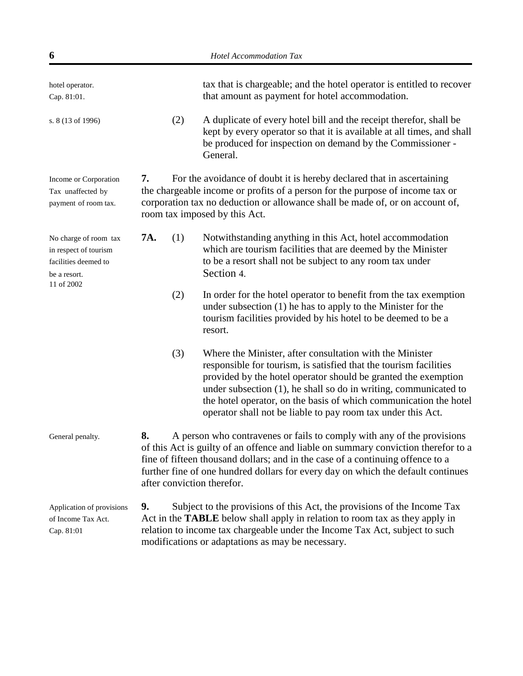| 6                                                                                      | Hotel Accommodation Tax                                                                                                                                                                                                                                                                                                                                                                                         |  |  |
|----------------------------------------------------------------------------------------|-----------------------------------------------------------------------------------------------------------------------------------------------------------------------------------------------------------------------------------------------------------------------------------------------------------------------------------------------------------------------------------------------------------------|--|--|
| hotel operator.<br>Cap. 81:01.                                                         | tax that is chargeable; and the hotel operator is entitled to recover<br>that amount as payment for hotel accommodation.                                                                                                                                                                                                                                                                                        |  |  |
| s. 8 (13 of 1996)                                                                      | A duplicate of every hotel bill and the receipt therefor, shall be<br>(2)<br>kept by every operator so that it is available at all times, and shall<br>be produced for inspection on demand by the Commissioner -<br>General.                                                                                                                                                                                   |  |  |
| Income or Corporation<br>Tax unaffected by<br>payment of room tax.                     | For the avoidance of doubt it is hereby declared that in ascertaining<br>7.<br>the chargeable income or profits of a person for the purpose of income tax or<br>corporation tax no deduction or allowance shall be made of, or on account of,<br>room tax imposed by this Act.                                                                                                                                  |  |  |
| No charge of room tax<br>in respect of tourism<br>facilities deemed to<br>be a resort. | 7A.<br>Notwithstanding anything in this Act, hotel accommodation<br>(1)<br>which are tourism facilities that are deemed by the Minister<br>to be a resort shall not be subject to any room tax under<br>Section 4.                                                                                                                                                                                              |  |  |
| 11 of 2002                                                                             | (2)<br>In order for the hotel operator to benefit from the tax exemption<br>under subsection (1) he has to apply to the Minister for the<br>tourism facilities provided by his hotel to be deemed to be a<br>resort.                                                                                                                                                                                            |  |  |
|                                                                                        | (3)<br>Where the Minister, after consultation with the Minister<br>responsible for tourism, is satisfied that the tourism facilities<br>provided by the hotel operator should be granted the exemption<br>under subsection (1), he shall so do in writing, communicated to<br>the hotel operator, on the basis of which communication the hotel<br>operator shall not be liable to pay room tax under this Act. |  |  |
| General penalty.                                                                       | A person who contravenes or fails to comply with any of the provisions<br>8.<br>of this Act is guilty of an offence and liable on summary conviction therefor to a<br>fine of fifteen thousand dollars; and in the case of a continuing offence to a<br>further fine of one hundred dollars for every day on which the default continues<br>after conviction therefor.                                          |  |  |
| Application of provisions<br>of Income Tax Act.<br>Cap. 81:01                          | Subject to the provisions of this Act, the provisions of the Income Tax<br>9.<br>Act in the <b>TABLE</b> below shall apply in relation to room tax as they apply in<br>relation to income tax chargeable under the Income Tax Act, subject to such<br>modifications or adaptations as may be necessary.                                                                                                         |  |  |